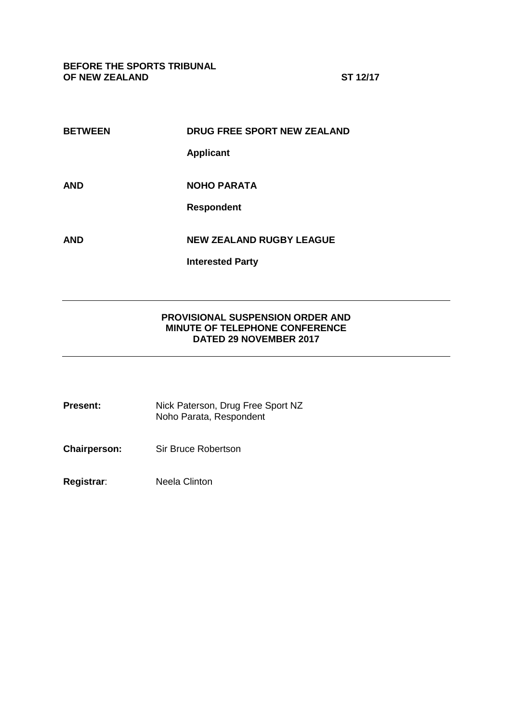**BEFORE THE SPORTS TRIBUNAL OF NEW ZEALAND ST 12/17**

| <b>BETWEEN</b> | DRUG FREE SPORT NEW ZEALAND     |
|----------------|---------------------------------|
|                | <b>Applicant</b>                |
|                |                                 |
| <b>AND</b>     | <b>NOHO PARATA</b>              |
|                | <b>Respondent</b>               |
|                |                                 |
| <b>AND</b>     | <b>NEW ZEALAND RUGBY LEAGUE</b> |
|                | <b>Interested Party</b>         |

## **PROVISIONAL SUSPENSION ORDER AND MINUTE OF TELEPHONE CONFERENCE DATED 29 NOVEMBER 2017**

| Present: | Nick Paterson, Drug Free Sport NZ |
|----------|-----------------------------------|
|          | Noho Parata, Respondent           |

**Chairperson:** Sir Bruce Robertson

**Registrar**: Neela Clinton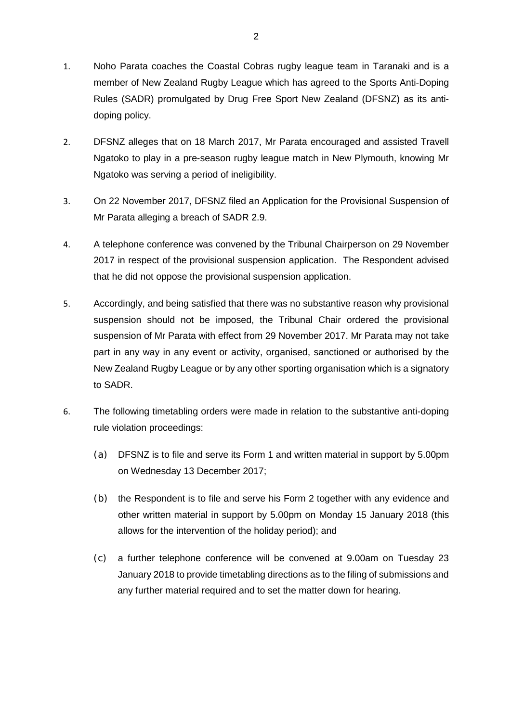- 1. Noho Parata coaches the Coastal Cobras rugby league team in Taranaki and is a member of New Zealand Rugby League which has agreed to the Sports Anti-Doping Rules (SADR) promulgated by Drug Free Sport New Zealand (DFSNZ) as its antidoping policy.
- 2. DFSNZ alleges that on 18 March 2017, Mr Parata encouraged and assisted Travell Ngatoko to play in a pre-season rugby league match in New Plymouth, knowing Mr Ngatoko was serving a period of ineligibility.
- 3. On 22 November 2017, DFSNZ filed an Application for the Provisional Suspension of Mr Parata alleging a breach of SADR 2.9.
- 4. A telephone conference was convened by the Tribunal Chairperson on 29 November 2017 in respect of the provisional suspension application. The Respondent advised that he did not oppose the provisional suspension application.
- 5. Accordingly, and being satisfied that there was no substantive reason why provisional suspension should not be imposed, the Tribunal Chair ordered the provisional suspension of Mr Parata with effect from 29 November 2017. Mr Parata may not take part in any way in any event or activity, organised, sanctioned or authorised by the New Zealand Rugby League or by any other sporting organisation which is a signatory to SADR.
- 6. The following timetabling orders were made in relation to the substantive anti-doping rule violation proceedings:
	- (a) DFSNZ is to file and serve its Form 1 and written material in support by 5.00pm on Wednesday 13 December 2017;
	- (b) the Respondent is to file and serve his Form 2 together with any evidence and other written material in support by 5.00pm on Monday 15 January 2018 (this allows for the intervention of the holiday period); and
	- (c) a further telephone conference will be convened at 9.00am on Tuesday 23 January 2018 to provide timetabling directions as to the filing of submissions and any further material required and to set the matter down for hearing.